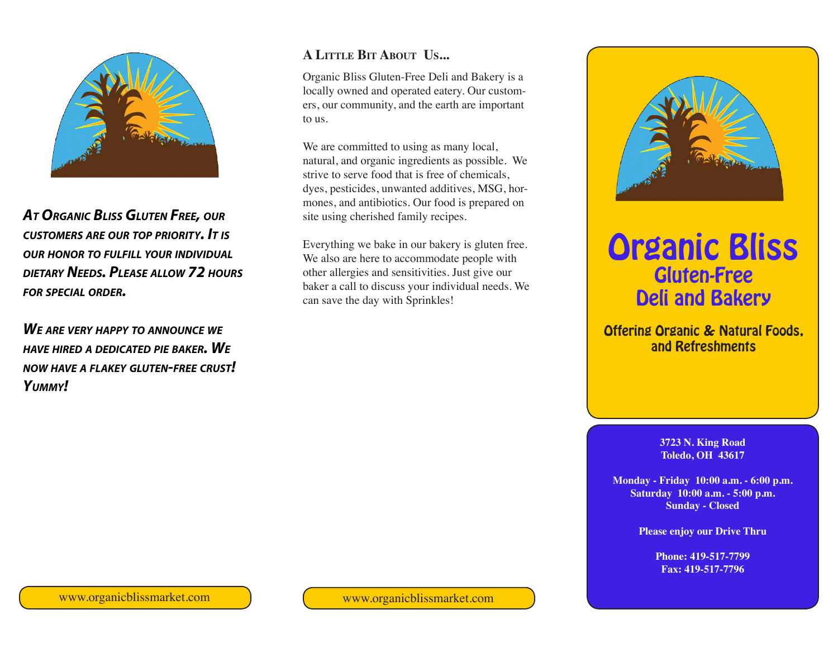

*At Organic Bliss Gluten Free, our customers are our top priority. It is our honor to fulfill your individual dietary Needs. Please allow 72 hours for special order.*

*We are very happy to announce we have hired <sup>a</sup> dedicated pie baker. We now have <sup>a</sup> flakey gluten-free crust! Yummy!*

#### **A Little Bit About Us...**

Organic Bliss Gluten-Free Deli and Bakery is a locally owned and operated eatery. Our customers, our community, and the earth are important to us.

We are committed to using as many local, natural, and organic ingredients as possible. We strive to serve food that is free of chemicals, dyes, pesticides, unwanted additives, MSG, hormones, and antibiotics. Our food is prepared on site using cherished family recipes.

Everything we bake in our bakery is gluten free. We also are here to accommodate people with other allergies and sensitivities. Just give our baker a call to discuss your individual needs. We can save the day with Sprinkles!



# Organic Bliss Gluten-Free Deli and Bakery

#### Offering Organic & Natural Foods, and Refreshments

**3723 N. King Road Toledo, OH 43617**

**Monday - Friday 10:00 a.m. - 6:00 p.m. Saturday 10:00 a.m. - 5:00 p.m. Sunday - Closed**

**Please enjoy our Drive Thru**

**Phone: 419-517-7799 Fax: 419-517-7796**